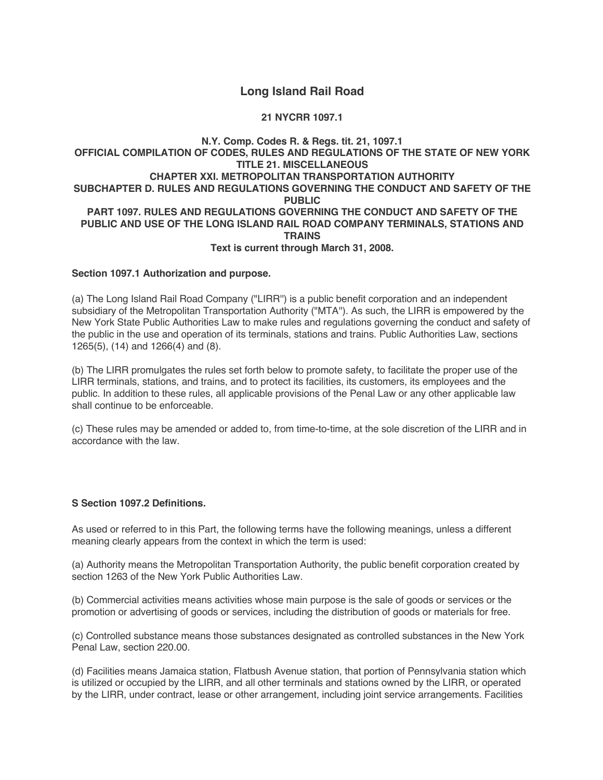# **Long Island Rail Road**

**21 NYCRR 1097.1**

### **N.Y. Comp. Codes R. & Regs. tit. 21, 1097.1 OFFICIAL COMPILATION OF CODES, RULES AND REGULATIONS OF THE STATE OF NEW YORK TITLE 21. MISCELLANEOUS CHAPTER XXI. METROPOLITAN TRANSPORTATION AUTHORITY SUBCHAPTER D. RULES AND REGULATIONS GOVERNING THE CONDUCT AND SAFETY OF THE PUBLIC PART 1097. RULES AND REGULATIONS GOVERNING THE CONDUCT AND SAFETY OF THE PUBLIC AND USE OF THE LONG ISLAND RAIL ROAD COMPANY TERMINALS, STATIONS AND TRAINS Text is current through March 31, 2008.**

### **Section 1097.1 Authorization and purpose.**

(a) The Long Island Rail Road Company ("LIRR'') is a public benefit corporation and an independent subsidiary of the Metropolitan Transportation Authority ("MTA''). As such, the LIRR is empowered by the New York State Public Authorities Law to make rules and regulations governing the conduct and safety of the public in the use and operation of its terminals, stations and trains. Public Authorities Law, sections 1265(5), (14) and 1266(4) and (8).

(b) The LIRR promulgates the rules set forth below to promote safety, to facilitate the proper use of the LIRR terminals, stations, and trains, and to protect its facilities, its customers, its employees and the public. In addition to these rules, all applicable provisions of the Penal Law or any other applicable law shall continue to be enforceable.

(c) These rules may be amended or added to, from time-to-time, at the sole discretion of the LIRR and in accordance with the law.

# **S Section 1097.2 Definitions.**

As used or referred to in this Part, the following terms have the following meanings, unless a different meaning clearly appears from the context in which the term is used:

(a) Authority means the Metropolitan Transportation Authority, the public benefit corporation created by section 1263 of the New York Public Authorities Law

(b) Commercial activities means activities whose main purpose is the sale of goods or services or the promotion or advertising of goods or services, including the distribution of goods or materials for free.

(c) Controlled substance means those substances designated as controlled substances in the New York Penal Law, section 220.00.

(d) Facilities means Jamaica station, Flatbush Avenue station, that portion of Pennsylvania station which is utilized or occupied by the LIRR, and all other terminals and stations owned by the LIRR, or operated by the LIRR, under contract, lease or other arrangement, including joint service arrangements. Facilities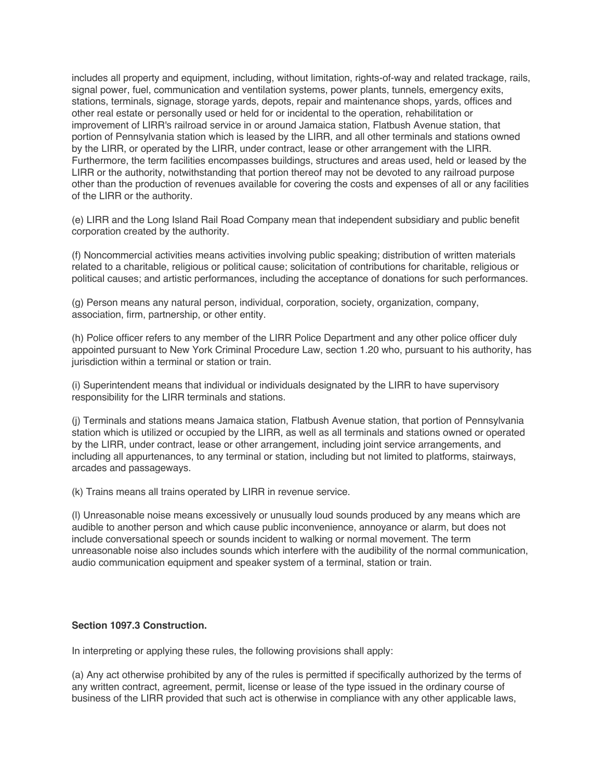includes all property and equipment, including, without limitation, rights-of-way and related trackage, rails, signal power, fuel, communication and ventilation systems, power plants, tunnels, emergency exits, stations, terminals, signage, storage yards, depots, repair and maintenance shops, yards, offices and other real estate or personally used or held for or incidental to the operation, rehabilitation or improvement of LIRR's railroad service in or around Jamaica station, Flatbush Avenue station, that portion of Pennsylvania station which is leased by the LIRR, and all other terminals and stations owned by the LIRR, or operated by the LIRR, under contract, lease or other arrangement with the LIRR. Furthermore, the term facilities encompasses buildings, structures and areas used, held or leased by the LIRR or the authority, notwithstanding that portion thereof may not be devoted to any railroad purpose other than the production of revenues available for covering the costs and expenses of all or any facilities of the LIRR or the authority.

(e) LIRR and the Long Island Rail Road Company mean that independent subsidiary and public benefit corporation created by the authority.

(f) Noncommercial activities means activities involving public speaking; distribution of written materials related to a charitable, religious or political cause; solicitation of contributions for charitable, religious or political causes; and artistic performances, including the acceptance of donations for such performances.

(g) Person means any natural person, individual, corporation, society, organization, company, association, firm, partnership, or other entity.

(h) Police officer refers to any member of the LIRR Police Department and any other police officer duly appointed pursuant to New York Criminal Procedure Law, section 1.20 who, pursuant to his authority, has jurisdiction within a terminal or station or train.

(i) Superintendent means that individual or individuals designated by the LIRR to have supervisory responsibility for the LIRR terminals and stations.

(j) Terminals and stations means Jamaica station, Flatbush Avenue station, that portion of Pennsylvania station which is utilized or occupied by the LIRR, as well as all terminals and stations owned or operated by the LIRR, under contract, lease or other arrangement, including joint service arrangements, and including all appurtenances, to any terminal or station, including but not limited to platforms, stairways, arcades and passageways.

(k) Trains means all trains operated by LIRR in revenue service.

(l) Unreasonable noise means excessively or unusually loud sounds produced by any means which are audible to another person and which cause public inconvenience, annoyance or alarm, but does not include conversational speech or sounds incident to walking or normal movement. The term unreasonable noise also includes sounds which interfere with the audibility of the normal communication, audio communication equipment and speaker system of a terminal, station or train.

### **Section 1097.3 Construction.**

In interpreting or applying these rules, the following provisions shall apply:

(a) Any act otherwise prohibited by any of the rules is permitted if specifically authorized by the terms of any written contract, agreement, permit, license or lease of the type issued in the ordinary course of business of the LIRR provided that such act is otherwise in compliance with any other applicable laws,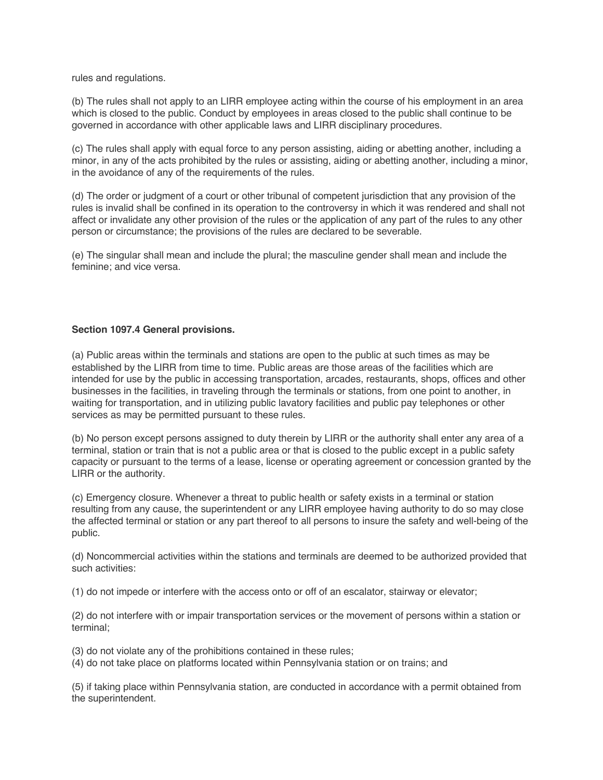rules and regulations.

(b) The rules shall not apply to an LIRR employee acting within the course of his employment in an area which is closed to the public. Conduct by employees in areas closed to the public shall continue to be governed in accordance with other applicable laws and LIRR disciplinary procedures.

(c) The rules shall apply with equal force to any person assisting, aiding or abetting another, including a minor, in any of the acts prohibited by the rules or assisting, aiding or abetting another, including a minor, in the avoidance of any of the requirements of the rules.

(d) The order or judgment of a court or other tribunal of competent jurisdiction that any provision of the rules is invalid shall be confined in its operation to the controversy in which it was rendered and shall not affect or invalidate any other provision of the rules or the application of any part of the rules to any other person or circumstance; the provisions of the rules are declared to be severable.

(e) The singular shall mean and include the plural; the masculine gender shall mean and include the feminine; and vice versa.

### **Section 1097.4 General provisions.**

(a) Public areas within the terminals and stations are open to the public at such times as may be established by the LIRR from time to time. Public areas are those areas of the facilities which are intended for use by the public in accessing transportation, arcades, restaurants, shops, offices and other businesses in the facilities, in traveling through the terminals or stations, from one point to another, in waiting for transportation, and in utilizing public lavatory facilities and public pay telephones or other services as may be permitted pursuant to these rules.

(b) No person except persons assigned to duty therein by LIRR or the authority shall enter any area of a terminal, station or train that is not a public area or that is closed to the public except in a public safety capacity or pursuant to the terms of a lease, license or operating agreement or concession granted by the LIRR or the authority.

(c) Emergency closure. Whenever a threat to public health or safety exists in a terminal or station resulting from any cause, the superintendent or any LIRR employee having authority to do so may close the affected terminal or station or any part thereof to all persons to insure the safety and well-being of the public.

(d) Noncommercial activities within the stations and terminals are deemed to be authorized provided that such activities:

(1) do not impede or interfere with the access onto or off of an escalator, stairway or elevator;

(2) do not interfere with or impair transportation services or the movement of persons within a station or terminal;

(3) do not violate any of the prohibitions contained in these rules;

(4) do not take place on platforms located within Pennsylvania station or on trains; and

(5) if taking place within Pennsylvania station, are conducted in accordance with a permit obtained from the superintendent.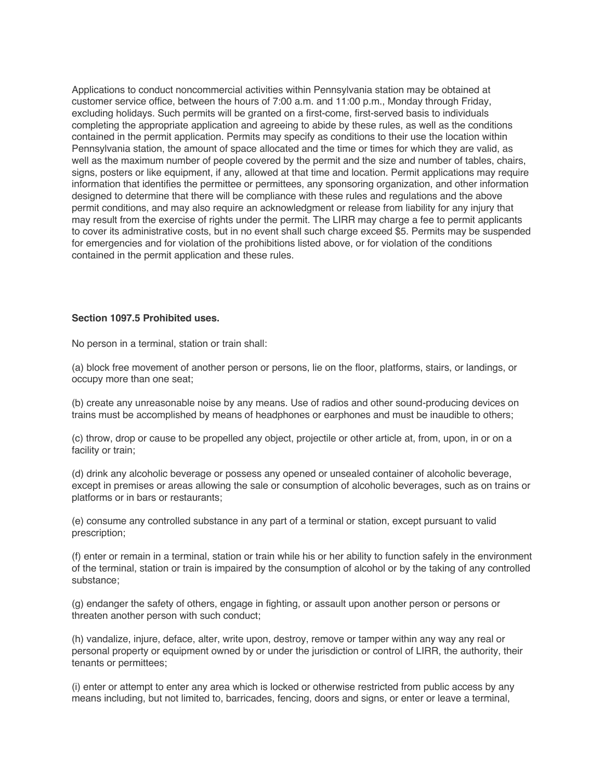Applications to conduct noncommercial activities within Pennsylvania station may be obtained at customer service office, between the hours of 7:00 a.m. and 11:00 p.m., Monday through Friday, excluding holidays. Such permits will be granted on a first-come, first-served basis to individuals completing the appropriate application and agreeing to abide by these rules, as well as the conditions contained in the permit application. Permits may specify as conditions to their use the location within Pennsylvania station, the amount of space allocated and the time or times for which they are valid, as well as the maximum number of people covered by the permit and the size and number of tables, chairs, signs, posters or like equipment, if any, allowed at that time and location. Permit applications may require information that identifies the permittee or permittees, any sponsoring organization, and other information designed to determine that there will be compliance with these rules and regulations and the above permit conditions, and may also require an acknowledgment or release from liability for any injury that may result from the exercise of rights under the permit. The LIRR may charge a fee to permit applicants to cover its administrative costs, but in no event shall such charge exceed \$5. Permits may be suspended for emergencies and for violation of the prohibitions listed above, or for violation of the conditions contained in the permit application and these rules.

### **Section 1097.5 Prohibited uses.**

No person in a terminal, station or train shall:

(a) block free movement of another person or persons, lie on the floor, platforms, stairs, or landings, or occupy more than one seat;

(b) create any unreasonable noise by any means. Use of radios and other sound-producing devices on trains must be accomplished by means of headphones or earphones and must be inaudible to others;

(c) throw, drop or cause to be propelled any object, projectile or other article at, from, upon, in or on a facility or train;

(d) drink any alcoholic beverage or possess any opened or unsealed container of alcoholic beverage, except in premises or areas allowing the sale or consumption of alcoholic beverages, such as on trains or platforms or in bars or restaurants;

(e) consume any controlled substance in any part of a terminal or station, except pursuant to valid prescription;

(f) enter or remain in a terminal, station or train while his or her ability to function safely in the environment of the terminal, station or train is impaired by the consumption of alcohol or by the taking of any controlled substance;

(g) endanger the safety of others, engage in fighting, or assault upon another person or persons or threaten another person with such conduct;

(h) vandalize, injure, deface, alter, write upon, destroy, remove or tamper within any way any real or personal property or equipment owned by or under the jurisdiction or control of LIRR, the authority, their tenants or permittees;

(i) enter or attempt to enter any area which is locked or otherwise restricted from public access by any means including, but not limited to, barricades, fencing, doors and signs, or enter or leave a terminal,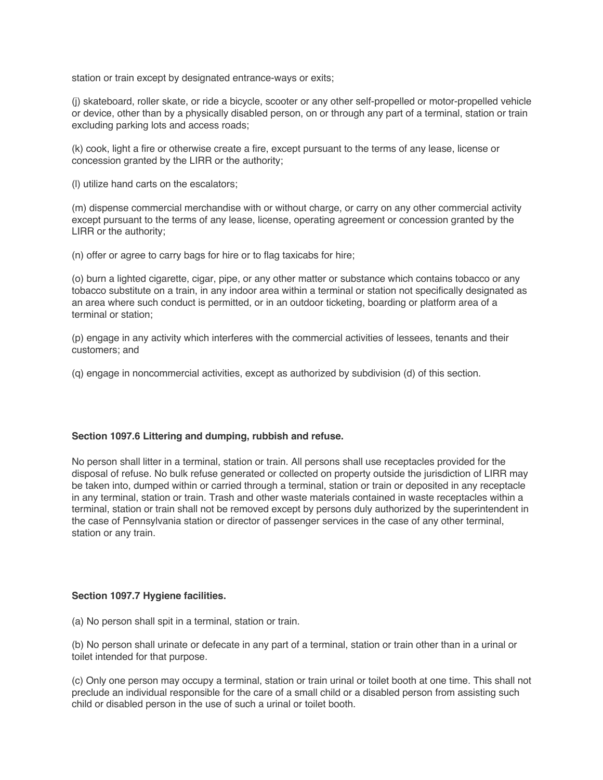station or train except by designated entrance-ways or exits;

(j) skateboard, roller skate, or ride a bicycle, scooter or any other self-propelled or motor-propelled vehicle or device, other than by a physically disabled person, on or through any part of a terminal, station or train excluding parking lots and access roads;

(k) cook, light a fire or otherwise create a fire, except pursuant to the terms of any lease, license or concession granted by the LIRR or the authority;

(l) utilize hand carts on the escalators;

(m) dispense commercial merchandise with or without charge, or carry on any other commercial activity except pursuant to the terms of any lease, license, operating agreement or concession granted by the LIRR or the authority;

(n) offer or agree to carry bags for hire or to flag taxicabs for hire;

(o) burn a lighted cigarette, cigar, pipe, or any other matter or substance which contains tobacco or any tobacco substitute on a train, in any indoor area within a terminal or station not specifically designated as an area where such conduct is permitted, or in an outdoor ticketing, boarding or platform area of a terminal or station;

(p) engage in any activity which interferes with the commercial activities of lessees, tenants and their customers; and

(q) engage in noncommercial activities, except as authorized by subdivision (d) of this section.

### **Section 1097.6 Littering and dumping, rubbish and refuse.**

No person shall litter in a terminal, station or train. All persons shall use receptacles provided for the disposal of refuse. No bulk refuse generated or collected on property outside the jurisdiction of LIRR may be taken into, dumped within or carried through a terminal, station or train or deposited in any receptacle in any terminal, station or train. Trash and other waste materials contained in waste receptacles within a terminal, station or train shall not be removed except by persons duly authorized by the superintendent in the case of Pennsylvania station or director of passenger services in the case of any other terminal, station or any train.

### **Section 1097.7 Hygiene facilities.**

(a) No person shall spit in a terminal, station or train.

(b) No person shall urinate or defecate in any part of a terminal, station or train other than in a urinal or toilet intended for that purpose.

(c) Only one person may occupy a terminal, station or train urinal or toilet booth at one time. This shall not preclude an individual responsible for the care of a small child or a disabled person from assisting such child or disabled person in the use of such a urinal or toilet booth.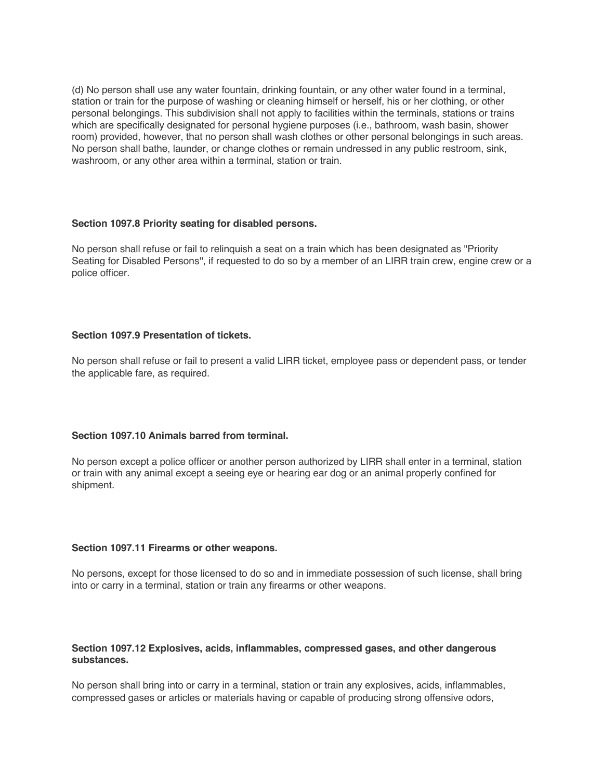(d) No person shall use any water fountain, drinking fountain, or any other water found in a terminal, station or train for the purpose of washing or cleaning himself or herself, his or her clothing, or other personal belongings. This subdivision shall not apply to facilities within the terminals, stations or trains which are specifically designated for personal hygiene purposes (i.e., bathroom, wash basin, shower room) provided, however, that no person shall wash clothes or other personal belongings in such areas. No person shall bathe, launder, or change clothes or remain undressed in any public restroom, sink, washroom, or any other area within a terminal, station or train.

### **Section 1097.8 Priority seating for disabled persons.**

No person shall refuse or fail to relinquish a seat on a train which has been designated as "Priority Seating for Disabled Persons'', if requested to do so by a member of an LIRR train crew, engine crew or a police officer.

# **Section 1097.9 Presentation of tickets.**

No person shall refuse or fail to present a valid LIRR ticket, employee pass or dependent pass, or tender the applicable fare, as required.

# **Section 1097.10 Animals barred from terminal.**

No person except a police officer or another person authorized by LIRR shall enter in a terminal, station or train with any animal except a seeing eye or hearing ear dog or an animal properly confined for shipment.

### **Section 1097.11 Firearms or other weapons.**

No persons, except for those licensed to do so and in immediate possession of such license, shall bring into or carry in a terminal, station or train any firearms or other weapons.

### **Section 1097.12 Explosives, acids, inflammables, compressed gases, and other dangerous substances.**

No person shall bring into or carry in a terminal, station or train any explosives, acids, inflammables, compressed gases or articles or materials having or capable of producing strong offensive odors,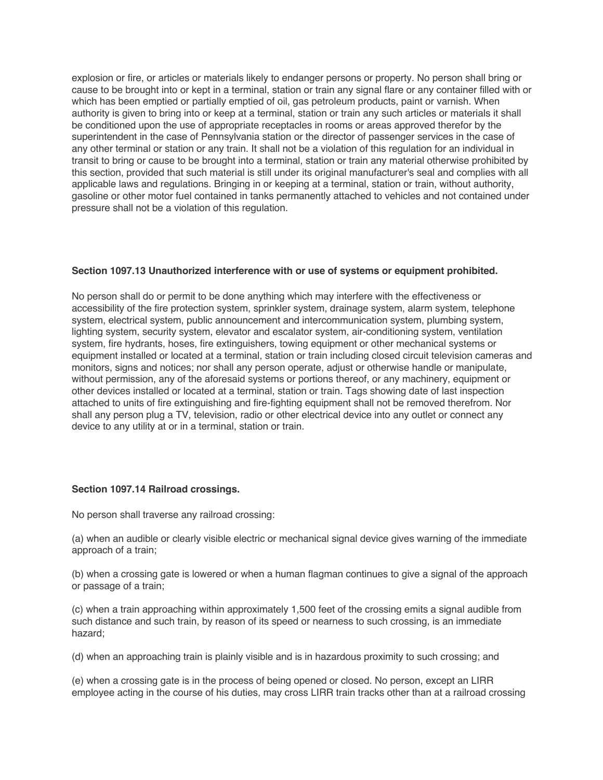explosion or fire, or articles or materials likely to endanger persons or property. No person shall bring or cause to be brought into or kept in a terminal, station or train any signal flare or any container filled with or which has been emptied or partially emptied of oil, gas petroleum products, paint or varnish. When authority is given to bring into or keep at a terminal, station or train any such articles or materials it shall be conditioned upon the use of appropriate receptacles in rooms or areas approved therefor by the superintendent in the case of Pennsylvania station or the director of passenger services in the case of any other terminal or station or any train. It shall not be a violation of this regulation for an individual in transit to bring or cause to be brought into a terminal, station or train any material otherwise prohibited by this section, provided that such material is still under its original manufacturer's seal and complies with all applicable laws and regulations. Bringing in or keeping at a terminal, station or train, without authority, gasoline or other motor fuel contained in tanks permanently attached to vehicles and not contained under pressure shall not be a violation of this regulation.

### **Section 1097.13 Unauthorized interference with or use of systems or equipment prohibited.**

No person shall do or permit to be done anything which may interfere with the effectiveness or accessibility of the fire protection system, sprinkler system, drainage system, alarm system, telephone system, electrical system, public announcement and intercommunication system, plumbing system, lighting system, security system, elevator and escalator system, air-conditioning system, ventilation system, fire hydrants, hoses, fire extinguishers, towing equipment or other mechanical systems or equipment installed or located at a terminal, station or train including closed circuit television cameras and monitors, signs and notices; nor shall any person operate, adjust or otherwise handle or manipulate, without permission, any of the aforesaid systems or portions thereof, or any machinery, equipment or other devices installed or located at a terminal, station or train. Tags showing date of last inspection attached to units of fire extinguishing and fire-fighting equipment shall not be removed therefrom. Nor shall any person plug a TV, television, radio or other electrical device into any outlet or connect any device to any utility at or in a terminal, station or train.

### **Section 1097.14 Railroad crossings.**

No person shall traverse any railroad crossing:

(a) when an audible or clearly visible electric or mechanical signal device gives warning of the immediate approach of a train;

(b) when a crossing gate is lowered or when a human flagman continues to give a signal of the approach or passage of a train;

(c) when a train approaching within approximately 1,500 feet of the crossing emits a signal audible from such distance and such train, by reason of its speed or nearness to such crossing, is an immediate hazard;

(d) when an approaching train is plainly visible and is in hazardous proximity to such crossing; and

(e) when a crossing gate is in the process of being opened or closed. No person, except an LIRR employee acting in the course of his duties, may cross LIRR train tracks other than at a railroad crossing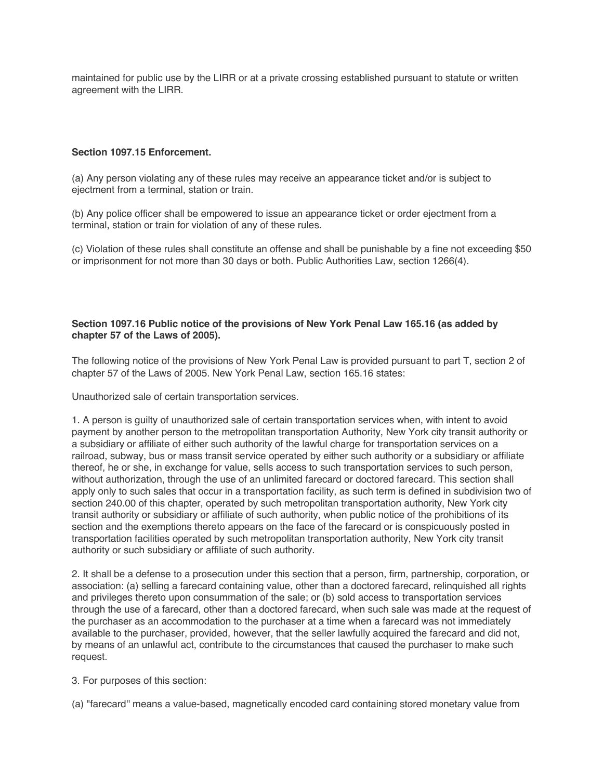maintained for public use by the LIRR or at a private crossing established pursuant to statute or written agreement with the LIRR.

### **Section 1097.15 Enforcement.**

(a) Any person violating any of these rules may receive an appearance ticket and/or is subject to ejectment from a terminal, station or train.

(b) Any police officer shall be empowered to issue an appearance ticket or order ejectment from a terminal, station or train for violation of any of these rules.

(c) Violation of these rules shall constitute an offense and shall be punishable by a fine not exceeding \$50 or imprisonment for not more than 30 days or both. Public Authorities Law, section 1266(4).

### **Section 1097.16 Public notice of the provisions of New York Penal Law 165.16 (as added by chapter 57 of the Laws of 2005).**

The following notice of the provisions of New York Penal Law is provided pursuant to part T, section 2 of chapter 57 of the Laws of 2005. New York Penal Law, section 165.16 states:

Unauthorized sale of certain transportation services.

1. A person is guilty of unauthorized sale of certain transportation services when, with intent to avoid payment by another person to the metropolitan transportation Authority, New York city transit authority or a subsidiary or affiliate of either such authority of the lawful charge for transportation services on a railroad, subway, bus or mass transit service operated by either such authority or a subsidiary or affiliate thereof, he or she, in exchange for value, sells access to such transportation services to such person, without authorization, through the use of an unlimited farecard or doctored farecard. This section shall apply only to such sales that occur in a transportation facility, as such term is defined in subdivision two of section 240.00 of this chapter, operated by such metropolitan transportation authority, New York city transit authority or subsidiary or affiliate of such authority, when public notice of the prohibitions of its section and the exemptions thereto appears on the face of the farecard or is conspicuously posted in transportation facilities operated by such metropolitan transportation authority, New York city transit authority or such subsidiary or affiliate of such authority.

2. It shall be a defense to a prosecution under this section that a person, firm, partnership, corporation, or association: (a) selling a farecard containing value, other than a doctored farecard, relinquished all rights and privileges thereto upon consummation of the sale; or (b) sold access to transportation services through the use of a farecard, other than a doctored farecard, when such sale was made at the request of the purchaser as an accommodation to the purchaser at a time when a farecard was not immediately available to the purchaser, provided, however, that the seller lawfully acquired the farecard and did not, by means of an unlawful act, contribute to the circumstances that caused the purchaser to make such request.

3. For purposes of this section:

(a) "farecard'' means a value-based, magnetically encoded card containing stored monetary value from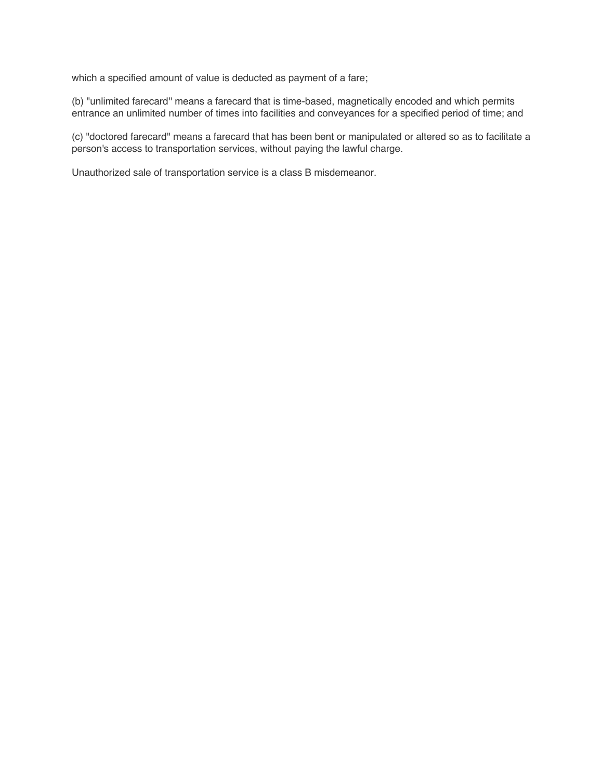which a specified amount of value is deducted as payment of a fare;

(b) "unlimited farecard'' means a farecard that is time-based, magnetically encoded and which permits entrance an unlimited number of times into facilities and conveyances for a specified period of time; and

(c) "doctored farecard'' means a farecard that has been bent or manipulated or altered so as to facilitate a person's access to transportation services, without paying the lawful charge.

Unauthorized sale of transportation service is a class B misdemeanor.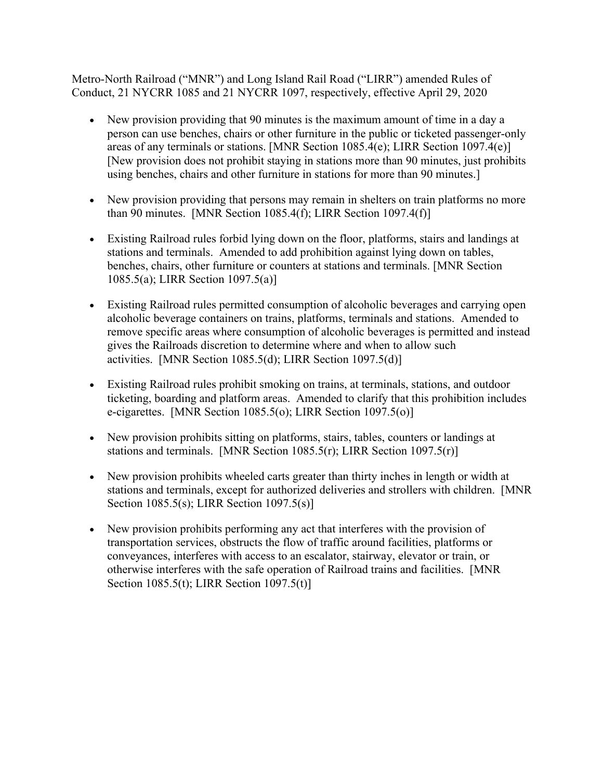Metro-North Railroad ("MNR") and Long Island Rail Road ("LIRR") amended Rules of Conduct, 21 NYCRR 1085 and 21 NYCRR 1097, respectively, effective April 29, 2020

- New provision providing that 90 minutes is the maximum amount of time in a day a person can use benches, chairs or other furniture in the public or ticketed passenger-only areas of any terminals or stations. [MNR Section 1085.4(e); LIRR Section 1097.4(e)] [New provision does not prohibit staying in stations more than 90 minutes, just prohibits using benches, chairs and other furniture in stations for more than 90 minutes.]
- New provision providing that persons may remain in shelters on train platforms no more than 90 minutes. [MNR Section 1085.4(f); LIRR Section 1097.4(f)]
- Existing Railroad rules forbid lying down on the floor, platforms, stairs and landings at stations and terminals. Amended to add prohibition against lying down on tables, benches, chairs, other furniture or counters at stations and terminals. [MNR Section 1085.5(a); LIRR Section 1097.5(a)]
- Existing Railroad rules permitted consumption of alcoholic beverages and carrying open alcoholic beverage containers on trains, platforms, terminals and stations. Amended to remove specific areas where consumption of alcoholic beverages is permitted and instead gives the Railroads discretion to determine where and when to allow such activities. [MNR Section 1085.5(d); LIRR Section 1097.5(d)]
- Existing Railroad rules prohibit smoking on trains, at terminals, stations, and outdoor ticketing, boarding and platform areas. Amended to clarify that this prohibition includes e-cigarettes. [MNR Section 1085.5(o); LIRR Section 1097.5(o)]
- New provision prohibits sitting on platforms, stairs, tables, counters or landings at stations and terminals. [MNR Section 1085.5(r); LIRR Section 1097.5(r)]
- New provision prohibits wheeled carts greater than thirty inches in length or width at stations and terminals, except for authorized deliveries and strollers with children. [MNR Section 1085.5(s); LIRR Section 1097.5(s)]
- New provision prohibits performing any act that interferes with the provision of transportation services, obstructs the flow of traffic around facilities, platforms or conveyances, interferes with access to an escalator, stairway, elevator or train, or otherwise interferes with the safe operation of Railroad trains and facilities. [MNR Section 1085.5(t); LIRR Section 1097.5(t)]